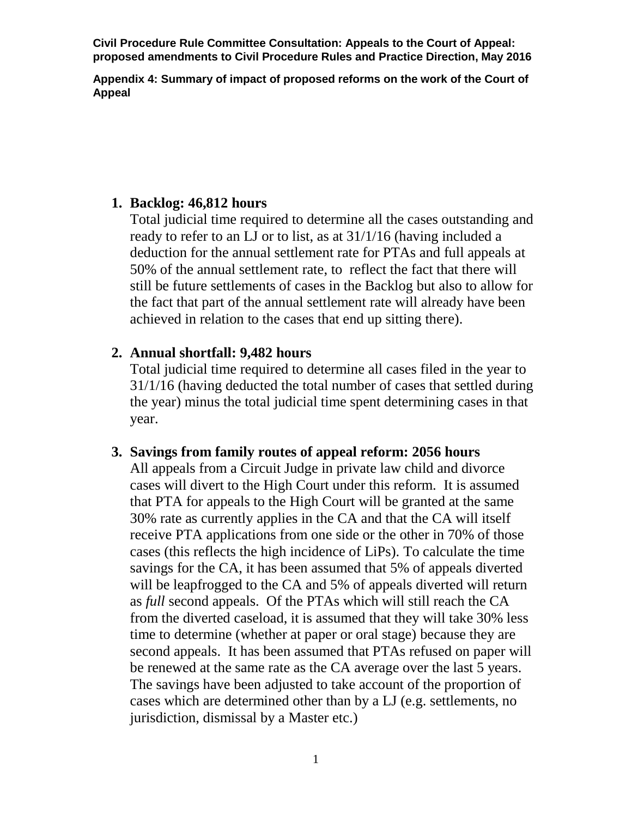**Appendix 4: Summary of impact of proposed reforms on the work of the Court of Appeal** 

### **1. Backlog: 46,812 hours**

Total judicial time required to determine all the cases outstanding and ready to refer to an LJ or to list, as at 31/1/16 (having included a deduction for the annual settlement rate for PTAs and full appeals at 50% of the annual settlement rate, to reflect the fact that there will still be future settlements of cases in the Backlog but also to allow for the fact that part of the annual settlement rate will already have been achieved in relation to the cases that end up sitting there).

# **2. Annual shortfall: 9,482 hours**

Total judicial time required to determine all cases filed in the year to 31/1/16 (having deducted the total number of cases that settled during the year) minus the total judicial time spent determining cases in that year.

# **3. Savings from family routes of appeal reform: 2056 hours**

All appeals from a Circuit Judge in private law child and divorce cases will divert to the High Court under this reform. It is assumed that PTA for appeals to the High Court will be granted at the same 30% rate as currently applies in the CA and that the CA will itself receive PTA applications from one side or the other in 70% of those cases (this reflects the high incidence of LiPs). To calculate the time savings for the CA, it has been assumed that 5% of appeals diverted will be leapfrogged to the CA and 5% of appeals diverted will return as *full* second appeals. Of the PTAs which will still reach the CA from the diverted caseload, it is assumed that they will take 30% less time to determine (whether at paper or oral stage) because they are second appeals. It has been assumed that PTAs refused on paper will be renewed at the same rate as the CA average over the last 5 years. The savings have been adjusted to take account of the proportion of cases which are determined other than by a LJ (e.g. settlements, no jurisdiction, dismissal by a Master etc.)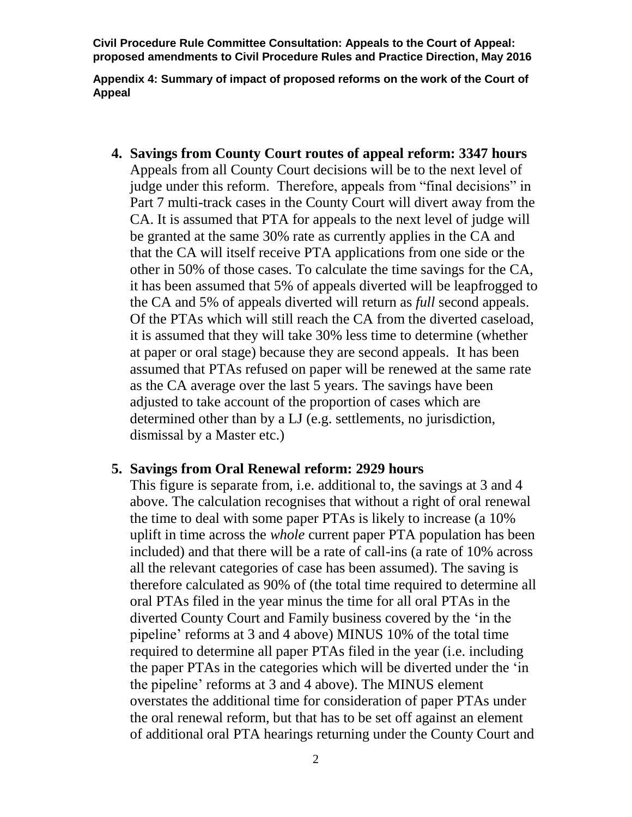**Appendix 4: Summary of impact of proposed reforms on the work of the Court of Appeal** 

**4. Savings from County Court routes of appeal reform: 3347 hours** Appeals from all County Court decisions will be to the next level of judge under this reform. Therefore, appeals from "final decisions" in Part 7 multi-track cases in the County Court will divert away from the CA. It is assumed that PTA for appeals to the next level of judge will be granted at the same 30% rate as currently applies in the CA and that the CA will itself receive PTA applications from one side or the other in 50% of those cases. To calculate the time savings for the CA, it has been assumed that 5% of appeals diverted will be leapfrogged to the CA and 5% of appeals diverted will return as *full* second appeals. Of the PTAs which will still reach the CA from the diverted caseload, it is assumed that they will take 30% less time to determine (whether at paper or oral stage) because they are second appeals. It has been assumed that PTAs refused on paper will be renewed at the same rate as the CA average over the last 5 years. The savings have been adjusted to take account of the proportion of cases which are determined other than by a LJ (e.g. settlements, no jurisdiction, dismissal by a Master etc.)

#### **5. Savings from Oral Renewal reform: 2929 hours**

This figure is separate from, i.e. additional to, the savings at 3 and 4 above. The calculation recognises that without a right of oral renewal the time to deal with some paper PTAs is likely to increase (a 10% uplift in time across the *whole* current paper PTA population has been included) and that there will be a rate of call-ins (a rate of 10% across all the relevant categories of case has been assumed). The saving is therefore calculated as 90% of (the total time required to determine all oral PTAs filed in the year minus the time for all oral PTAs in the diverted County Court and Family business covered by the 'in the pipeline' reforms at 3 and 4 above) MINUS 10% of the total time required to determine all paper PTAs filed in the year (i.e. including the paper PTAs in the categories which will be diverted under the 'in the pipeline' reforms at 3 and 4 above). The MINUS element overstates the additional time for consideration of paper PTAs under the oral renewal reform, but that has to be set off against an element of additional oral PTA hearings returning under the County Court and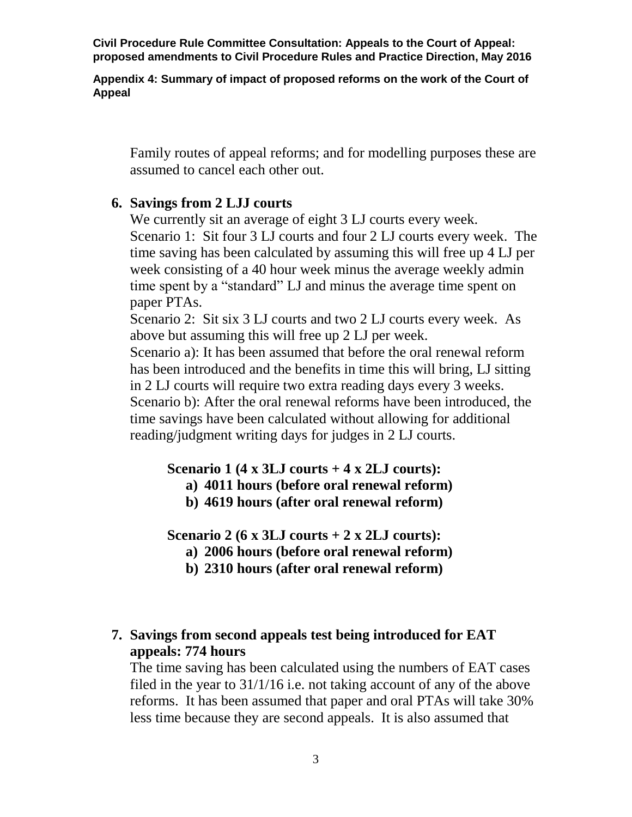**Appendix 4: Summary of impact of proposed reforms on the work of the Court of Appeal** 

Family routes of appeal reforms; and for modelling purposes these are assumed to cancel each other out.

### **6. Savings from 2 LJJ courts**

We currently sit an average of eight 3 LJ courts every week. Scenario 1: Sit four 3 LJ courts and four 2 LJ courts every week. The time saving has been calculated by assuming this will free up 4 LJ per week consisting of a 40 hour week minus the average weekly admin time spent by a "standard" LJ and minus the average time spent on paper PTAs. Scenario 2: Sit six 3 LJ courts and two 2 LJ courts every week. As above but assuming this will free up 2 LJ per week. Scenario a): It has been assumed that before the oral renewal reform has been introduced and the benefits in time this will bring, LJ sitting

in 2 LJ courts will require two extra reading days every 3 weeks. Scenario b): After the oral renewal reforms have been introduced, the time savings have been calculated without allowing for additional reading/judgment writing days for judges in 2 LJ courts.

### **Scenario 1 (4 x 3LJ courts + 4 x 2LJ courts):**

- **a) 4011 hours (before oral renewal reform)**
- **b) 4619 hours (after oral renewal reform)**

**Scenario 2 (6 x 3LJ courts + 2 x 2LJ courts):**

- **a) 2006 hours (before oral renewal reform)**
- **b) 2310 hours (after oral renewal reform)**

## **7. Savings from second appeals test being introduced for EAT appeals: 774 hours**

The time saving has been calculated using the numbers of EAT cases filed in the year to 31/1/16 i.e. not taking account of any of the above reforms. It has been assumed that paper and oral PTAs will take 30% less time because they are second appeals. It is also assumed that